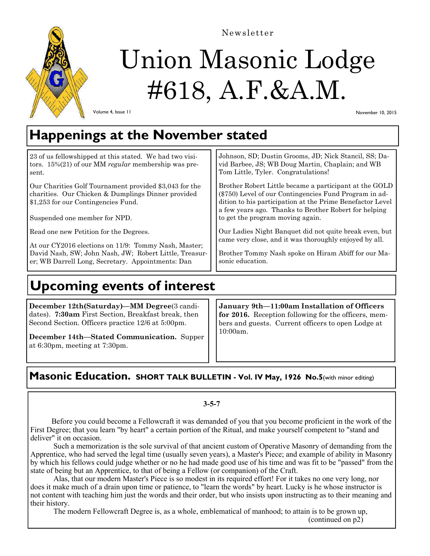

Newsletter

# Union Masonic Lodge #618, A.F.&A.M.

Volume 4, Issue 11

November 10, 2015

## **Happenings at the November stated**

23 of us fellowshipped at this stated. We had two visitors. 15%(21) of our MM *regular* membership was present.

Our Charities Golf Tournament provided \$3,043 for the charities. Our Chicken & Dumplings Dinner provided \$1,253 for our Contingencies Fund.

Suspended one member for NPD.

Read one new Petition for the Degrees.

At our CY2016 elections on 11/9: Tommy Nash, Master; David Nash, SW; John Nash, JW; Robert Little, Treasurer; WB Darrell Long, Secretary. Appointments: Dan

Johnson, SD; Dustin Grooms, JD; Nick Stancil, SS; David Barbee, JS; WB Doug Martin, Chaplain; and WB Tom Little, Tyler. Congratulations!

Brother Robert Little became a participant at the GOLD (\$750) Level of our Contingencies Fund Program in addition to his participation at the Prime Benefactor Level a few years ago. Thanks to Brother Robert for helping to get the program moving again.

Our Ladies Night Banquet did not quite break even, but came very close, and it was thoroughly enjoyed by all.

Brother Tommy Nash spoke on Hiram Abiff for our Masonic education.

# **Upcoming events of interest**

**December 12th(Saturday)—MM Degree**(3 candidates). **7:30am** First Section, Breakfast break, then Second Section. Officers practice 12/6 at 5:00pm.

**December 14th—Stated Communication.** Supper at  $6:30$ pm, meeting at  $7:30$ pm.

**January 9th—11:00am Installation of Officers for 2016.** Reception following for the officers, members and guests. Current officers to open Lodge at 10:00am.

### **Masonic Education. SHORT TALK BULLETIN - Vol. IV May, 1926 No.5**(with minor editing)

### **3-5-7**

 Before you could become a Fellowcraft it was demanded of you that you become proficient in the work of the First Degree; that you learn "by heart" a certain portion of the Ritual, and make yourself competent to "stand and deliver" it on occasion.

 Such a memorization is the sole survival of that ancient custom of Operative Masonry of demanding from the Apprentice, who had served the legal time (usually seven years), a Master's Piece; and example of ability in Masonry by which his fellows could judge whether or no he had made good use of his time and was fit to be "passed" from the state of being but an Apprentice, to that of being a Fellow (or companion) of the Craft.

 Alas, that our modern Master's Piece is so modest in its required effort! For it takes no one very long, nor does it make much of a drain upon time or patience, to "learn the words" by heart. Lucky is he whose instructor is not content with teaching him just the words and their order, but who insists upon instructing as to their meaning and their history.

The modern Fellowcraft Degree is, as a whole, emblematical of manhood; to attain is to be grown up,

(continued on p2)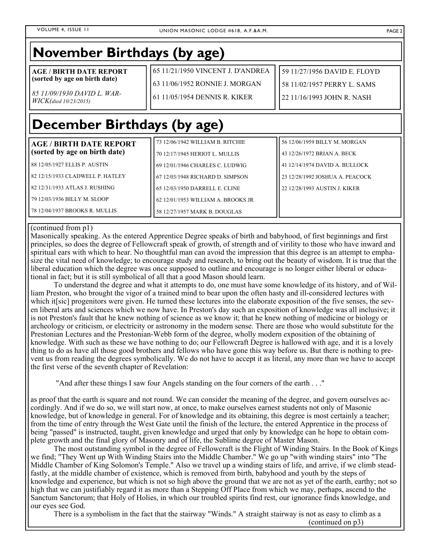### **November Birthdays (by age)**

**AGE / BIRTH DATE REPORT (sorted by age on birth date)** 

*85 11/09/1930 DAVID L. WAR-WICK(died 10/23/2015)*

65 11/21/1950 VINCENT J. D'ANDREA 63 11/06/1952 RONNIE J. MORGAN

61 11/05/1954 DENNIS R. KIKER

59 11/27/1956 DAVID E. FLOYD 58 11/02/1957 PERRY L. SAMS 22 11/16/1993 JOHN R. NASH

# **December Birthdays (by age)**

| AGE / BIRTH DATE REPORT <br>(sorted by age on birth date) | 73 12/06/1942 WILLIAM B. RITCHIE<br>70 12/17/1945 HERIOT L. MULLIS | l 56 12/06/1959 BILLY M. MORGAN<br>43 12/26/1972 BRIAN A. BECK |
|-----------------------------------------------------------|--------------------------------------------------------------------|----------------------------------------------------------------|
| 88 12/05/1927 ELLIS P. AUSTIN                             | 69 12/01/1946 CHARLES C. LUDWIG                                    | 141 12/14/1974 DAVID A. BULLOCK                                |
| 82 12/15/1933 CLADWELL P. HATLEY                          | 67 12/03/1948 RICHARD D. SIMPSON                                   | l 23 12/28/1992 JOSHUA A. PEACOCK                              |
| l 82 12/31/1933 ATLAS J. RUSHING                          | 65 12/03/1950 DARRELL E. CLINE                                     | l 22 12/28/1993 AUSTIN J. KIKER                                |
| l 79 12/03/1936 BILLY M. SLOOP-                           | 62 12/01/1953 WILLIAM A. BROOKS JR                                 |                                                                |
| 78 12/04/1937 BROOKS R. MULLIS                            | 58 12/27/1957 MARK B. DOUGLAS                                      |                                                                |

#### (continued from p1)

Masonically speaking. As the entered Apprentice Degree speaks of birth and babyhood, of first beginnings and first principles, so does the degree of Fellowcraft speak of growth, of strength and of virility to those who have inward and spiritual ears with which to hear. No thoughtful man can avoid the impression that this degree is an attempt to emphasize the vital need of knowledge; to encourage study and research, to bring out the beauty of wisdom. It is true that the liberal education which the degree was once supposed to outline and encourage is no longer either liberal or educational in fact; but it is still symbolical of all that a good Mason should learn.

 To understand the degree and what it attempts to do, one must have some knowledge of its history, and of William Preston, who brought the vigor of a trained mind to bear upon the often hasty and ill-considered lectures with which it [sic] progenitors were given. He turned these lectures into the elaborate exposition of the five senses, the seven liberal arts and sciences which we now have. In Preston's day such an exposition of knowledge was all inclusive; it is not Preston's fault that he knew nothing of science as we know it; that he knew nothing of medicine or biology or archeology or criticism, or electricity or astronomy in the modern sense. There are those who would substitute for the Prestonian Lectures and the Prestonian-Webb form of the degree, wholly modern exposition of the obtaining of knowledge. With such as these we have nothing to do; our Fellowcraft Degree is hallowed with age, and it is a lovely thing to do as have all those good brothers and fellows who have gone this way before us. But there is nothing to prevent us from reading the degrees symbolically. We do not have to accept it as literal, any more than we have to accept the first verse of the seventh chapter of Revelation:

"And after these things I saw four Angels standing on the four corners of the earth . . ."

as proof that the earth is square and not round. We can consider the meaning of the degree, and govern ourselves accordingly. And if we do so, we will start now, at once, to make ourselves earnest students not only of Masonic knowledge, but of knowledge in general. For of knowledge and its obtaining, this degree is most certainly a teacher; from the time of entry through the West Gate until the finish of the lecture, the entered Apprentice in the process of being "passed" is instructed, taught, given knowledge and urged that only by knowledge can he hope to obtain complete growth and the final glory of Masonry and of life, the Sublime degree of Master Mason.

 The most outstanding symbol in the degree of Fellowcraft is the Flight of Winding Stairs. In the Book of Kings we find; "They Went up With Winding Stairs into the Middle Chamber." We go up "with winding stairs" into "The Middle Chamber of King Solomon's Temple." Also we travel up a winding stairs of life, and arrive, if we climb steadfastly, at the middle chamber of existence, which is removed from birth, babyhood and youth by the steps of knowledge and experience, but which is not so high above the ground that we are not as yet of the earth, earthy; not so high that we can justifiably regard it as more than a Stepping Off Place from which we may, perhaps, ascend to the Sanctum Sanctorum; that Holy of Holies, in which our troubled spirits find rest, our ignorance finds knowledge, and our eyes see God.

There is a symbolism in the fact that the stairway "Winds." A straight stairway is not as easy to climb as a

(continued on p3)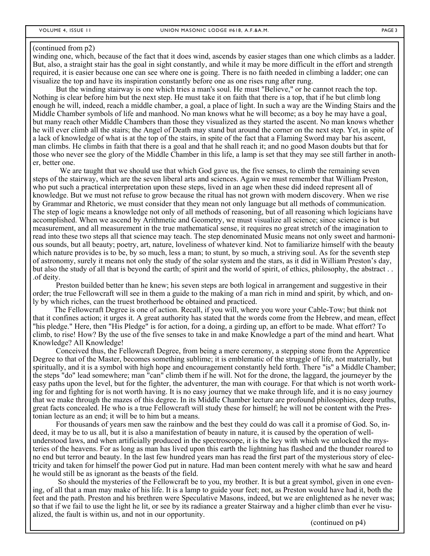#### (continued from p2)

winding one, which, because of the fact that it does wind, ascends by easier stages than one which climbs as a ladder. But, also, a straight stair has the goal in sight constantly, and while it may be more difficult in the effort and strength required, it is easier because one can see where one is going. There is no faith needed in climbing a ladder; one can visualize the top and have its inspiration constantly before one as one rises rung after rung.

 But the winding stairway is one which tries a man's soul. He must "Believe," or he cannot reach the top. Nothing is clear before him but the next step. He must take it on faith that there is a top, that if he but climb long enough he will, indeed, reach a middle chamber, a goal, a place of light. In such a way are the Winding Stairs and the Middle Chamber symbols of life and manhood. No man knows what he will become; as a boy he may have a goal, but many reach other Middle Chambers than those they visualized as they started the ascent. No man knows whether he will ever climb all the stairs; the Angel of Death may stand but around the corner on the next step. Yet, in spite of a lack of knowledge of what is at the top of the stairs, in spite of the fact that a Flaming Sword may bar his ascent, man climbs. He climbs in faith that there is a goal and that he shall reach it; and no good Mason doubts but that for those who never see the glory of the Middle Chamber in this life, a lamp is set that they may see still farther in another, better one.

We are taught that we should use that which God gave us, the five senses, to climb the remaining seven steps of the stairway, which are the seven liberal arts and sciences. Again we must remember that William Preston, who put such a practical interpretation upon these steps, lived in an age when these did indeed represent all of knowledge. But we must not refuse to grow because the ritual has not grown with modern discovery. When we rise by Grammar and Rhetoric, we must consider that they mean not only language but all methods of communication. The step of logic means a knowledge not only of all methods of reasoning, but of all reasoning which logicians have accomplished. When we ascend by Arithmetic and Geometry, we must visualize all science; since science is but measurement, and all measurement in the true mathematical sense, it requires no great stretch of the imagination to read into these two steps all that science may teach. The step denominated Music means not only sweet and harmonious sounds, but all beauty; poetry, art, nature, loveliness of whatever kind. Not to familiarize himself with the beauty which nature provides is to be, by so much, less a man; to stunt, by so much, a striving soul. As for the seventh step of astronomy, surely it means not only the study of the solar system and the stars, as it did in William Preston's day, but also the study of all that is beyond the earth; of spirit and the world of spirit, of ethics, philosophy, the abstract . . .of deity.

 Preston builded better than he knew; his seven steps are both logical in arrangement and suggestive in their order; the true Fellowcraft will see in them a guide to the making of a man rich in mind and spirit, by which, and only by which riches, can the truest brotherhood be obtained and practiced.

 The Fellowcraft Degree is one of action. Recall, if you will, where you wore your Cable-Tow; but think not that it confines action; it urges it. A great authority has stated that the words come from the Hebrew, and mean, effect "his pledge." Here, then "His Pledge" is for action, for a doing, a girding up, an effort to be made. What effort? To climb, to rise! How? By the use of the five senses to take in and make Knowledge a part of the mind and heart. What Knowledge? All Knowledge!

 Conceived thus, the Fellowcraft Degree, from being a mere ceremony, a stepping stone from the Apprentice Degree to that of the Master, becomes something sublime; it is emblematic of the struggle of life, not materially, but spiritually, and it is a symbol with high hope and encouragement constantly held forth. There "is" a Middle Chamber; the steps "do" lead somewhere; man "can" climb them if he will. Not for the drone, the laggard, the journeyer by the easy paths upon the level, but for the fighter, the adventurer, the man with courage. For that which is not worth working for and fighting for is not worth having. It is no easy journey that we make through life, and it is no easy journey that we make through the mazes of this degree. In its Middle Chamber lecture are profound philosophies, deep truths, great facts concealed. He who is a true Fellowcraft will study these for himself; he will not be content with the Prestonian lecture as an end; it will be to him but a means.

 For thousands of years men saw the rainbow and the best they could do was call it a promise of God. So, indeed, it may be to us all, but it is also a manifestation of beauty in nature, it is caused by the operation of wellunderstood laws, and when artificially produced in the spectroscope, it is the key with which we unlocked the mysteries of the heavens. For as long as man has lived upon this earth the lightning has flashed and the thunder roared to no end but terror and beauty. In the last few hundred years man has read the first part of the mysterious story of electricity and taken for himself the power God put in nature. Had man been content merely with what he saw and heard he would still be as ignorant as the beasts of the field.

 So should the mysteries of the Fellowcraft be to you, my brother. It is but a great symbol, given in one evening, of all that a man may make of his life. It is a lamp to guide your feet; not, as Preston would have had it, both the feet and the path. Preston and his brethren were Speculative Masons, indeed, but we are enlightened as he never was; so that if we fail to use the light he lit, or see by its radiance a greater Stairway and a higher climb than ever he visualized, the fault is within us, and not in our opportunity.

(continued on p4)